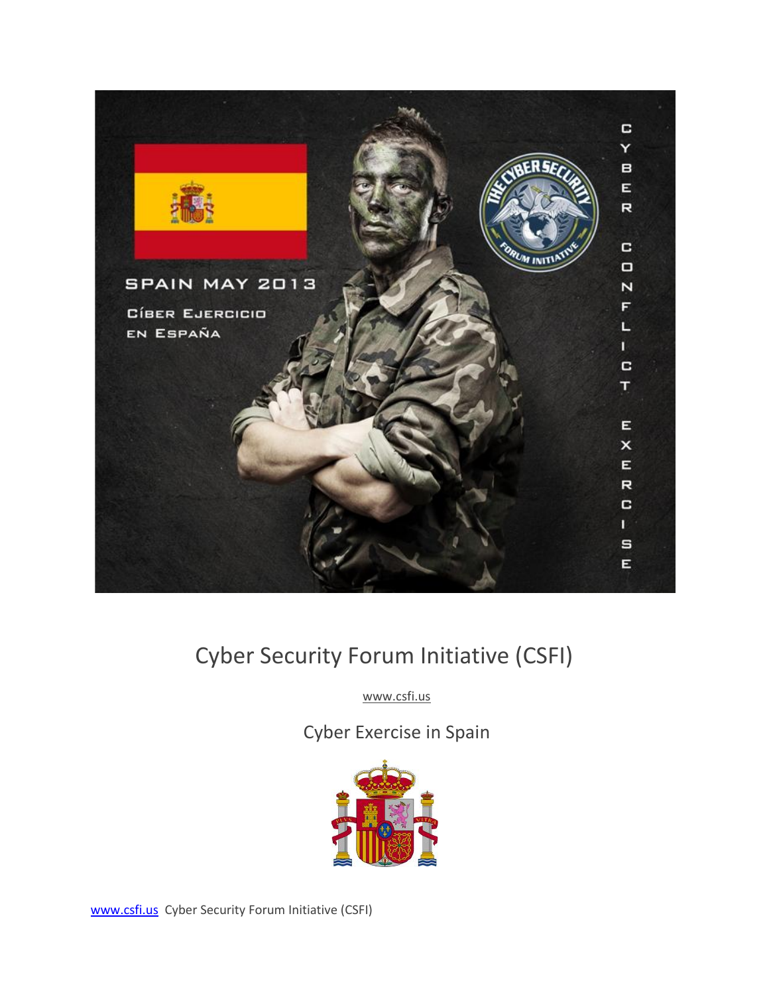

# Cyber Security Forum Initiative (CSFI)

www.csfi.us

Cyber Exercise in Spain



www.csfi.us Cyber Security Forum Initiative (CSFI)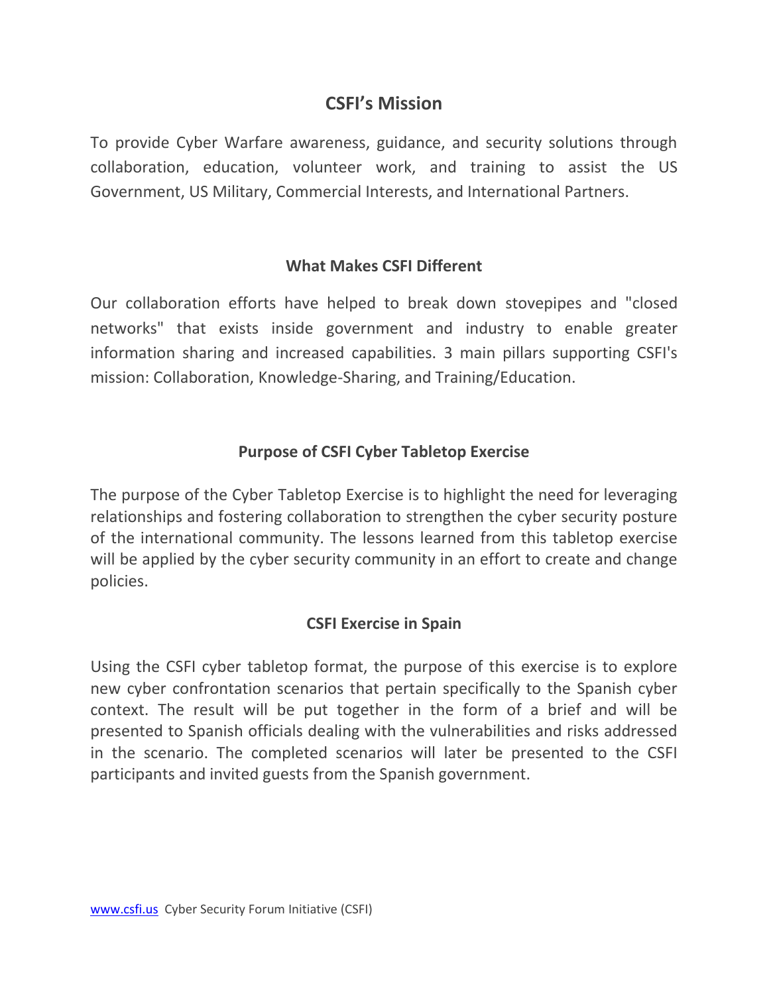## **CSFI's Mission**

To provide Cyber Warfare awareness, guidance, and security solutions through collaboration, education, volunteer work, and training to assist the US Government, US Military, Commercial Interests, and International Partners.

### **What Makes CSFI Different**

Our collaboration efforts have helped to break down stovepipes and "closed networks" that exists inside government and industry to enable greater information sharing and increased capabilities. 3 main pillars supporting CSFI's mission: Collaboration, Knowledge-Sharing, and Training/Education.

## **Purpose of CSFI Cyber Tabletop Exercise**

The purpose of the Cyber Tabletop Exercise is to highlight the need for leveraging relationships and fostering collaboration to strengthen the cyber security posture of the international community. The lessons learned from this tabletop exercise will be applied by the cyber security community in an effort to create and change policies.

### **CSFI Exercise in Spain**

Using the CSFI cyber tabletop format, the purpose of this exercise is to explore new cyber confrontation scenarios that pertain specifically to the Spanish cyber context. The result will be put together in the form of a brief and will be presented to Spanish officials dealing with the vulnerabilities and risks addressed in the scenario. The completed scenarios will later be presented to the CSFI participants and invited guests from the Spanish government.